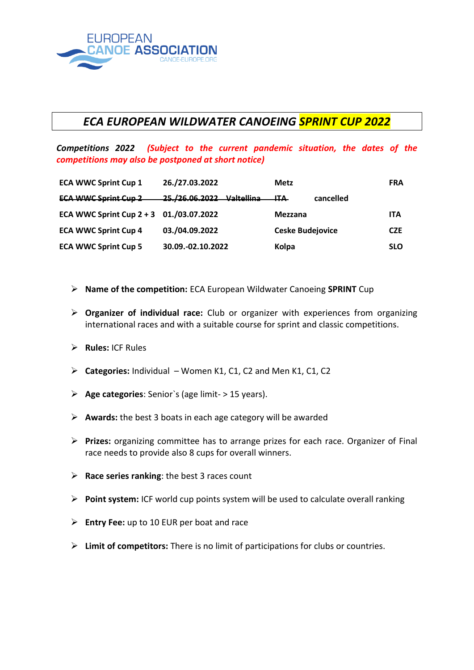

## *ECA EUROPEAN WILDWATER CANOEING SPRINT CUP 2022*

*Competitions 2022 (Subject to the current pandemic situation, the dates of the competitions may also be postponed at short notice)*

| <b>ECA WWC Sprint Cup 1</b>             | 26./27.03.2022            | <b>Metz</b>                  | <b>FRA</b> |
|-----------------------------------------|---------------------------|------------------------------|------------|
| <b>ECA WWC Sprint Cup 2</b>             | 25./26.06.2022 Valtellina | <del>ITA.</del><br>cancelled |            |
| ECA WWC Sprint Cup 2 + 3 01./03.07.2022 |                           | Mezzana                      | <b>ITA</b> |
| <b>ECA WWC Sprint Cup 4</b>             | 03./04.09.2022            | <b>Ceske Budejovice</b>      | <b>CZE</b> |
| <b>ECA WWC Sprint Cup 5</b>             | 30.09.-02.10.2022         | Kolpa                        | <b>SLO</b> |

- ➢ **Name of the competition:** ECA European Wildwater Canoeing **SPRINT** Cup
- ➢ **Organizer of individual race:** Club or organizer with experiences from organizing international races and with a suitable course for sprint and classic competitions.
- ➢ **Rules:** ICF Rules
- ➢ **Categories:** Individual Women K1, C1, C2 and Men K1, C1, C2
- ➢ **Age categories**: Senior`s (age limit- > 15 years).
- ➢ **Awards:** the best 3 boats in each age category will be awarded
- ➢ **Prizes:** organizing committee has to arrange prizes for each race. Organizer of Final race needs to provide also 8 cups for overall winners.
- ➢ **Race series ranking**: the best 3 races count
- ➢ **Point system:** ICF world cup points system will be used to calculate overall ranking
- ➢ **Entry Fee:** up to 10 EUR per boat and race
- ➢ **Limit of competitors:** There is no limit of participations for clubs or countries.